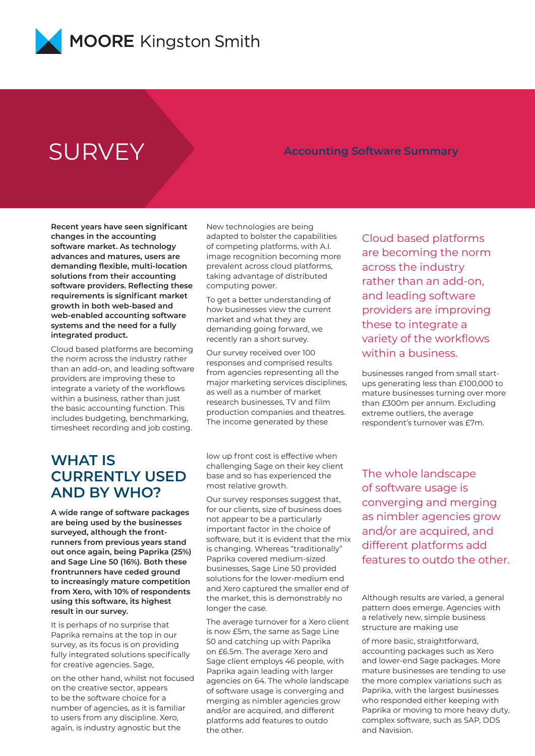

## **SURVEY Accounting Software Summary**

**Recent years have seen significant changes in the accounting software market. As technology advances and matures, users are demanding flexible, multi-location solutions from their accounting software providers. Reflecting these requirements is significant market growth in both web-based and web-enabled accounting software systems and the need for a fully integrated product.**

Cloud based platforms are becoming the norm across the industry rather than an add-on, and leading software providers are improving these to integrate a variety of the workflows within a business, rather than just the basic accounting function. This includes budgeting, benchmarking, timesheet recording and job costing.

New technologies are being adapted to bolster the capabilities of competing platforms, with A.I. image recognition becoming more prevalent across cloud platforms, taking advantage of distributed computing power.

To get a better understanding of how businesses view the current market and what they are demanding going forward, we recently ran a short survey.

Our survey received over 100 responses and comprised results from agencies representing all the major marketing services disciplines, as well as a number of market research businesses, TV and film production companies and theatres. The income generated by these

### **WHAT IS CURRENTLY USED AND BY WHO?**

**A wide range of software packages are being used by the businesses surveyed, although the frontrunners from previous years stand out once again, being Paprika (25%) and Sage Line 50 (16%). Both these frontrunners have ceded ground to increasingly mature competition from Xero, with 10% of respondents using this software, its highest result in our survey.**

It is perhaps of no surprise that Paprika remains at the top in our survey, as its focus is on providing fully integrated solutions specifically for creative agencies. Sage,

on the other hand, whilst not focused on the creative sector, appears to be the software choice for a number of agencies, as it is familiar to users from any discipline. Xero, again, is industry agnostic but the

low up front cost is effective when challenging Sage on their key client base and so has experienced the most relative growth.

Our survey responses suggest that, for our clients, size of business does not appear to be a particularly important factor in the choice of software, but it is evident that the mix is changing. Whereas "traditionally" Paprika covered medium-sized businesses, Sage Line 50 provided solutions for the lower-medium end and Xero captured the smaller end of the market, this is demonstrably no longer the case.

The average turnover for a Xero client is now £5m, the same as Sage Line 50 and catching up with Paprika on £6.5m. The average Xero and Sage client employs 46 people, with Paprika again leading with larger agencies on 64. The whole landscape of software usage is converging and merging as nimbler agencies grow and/or are acquired, and different platforms add features to outdo the other.

Cloud based platforms are becoming the norm across the industry rather than an add-on, and leading software providers are improving these to integrate a variety of the workflows within a business.

businesses ranged from small startups generating less than £100,000 to mature businesses turning over more than £300m per annum. Excluding extreme outliers, the average respondent's turnover was £7m.

The whole landscape of software usage is converging and merging as nimbler agencies grow and/or are acquired, and different platforms add features to outdo the other.

Although results are varied, a general pattern does emerge. Agencies with a relatively new, simple business structure are making use

of more basic, straightforward, accounting packages such as Xero and lower-end Sage packages. More mature businesses are tending to use the more complex variations such as Paprika, with the largest businesses who responded either keeping with Paprika or moving to more heavy duty, complex software, such as SAP, DDS and Navision.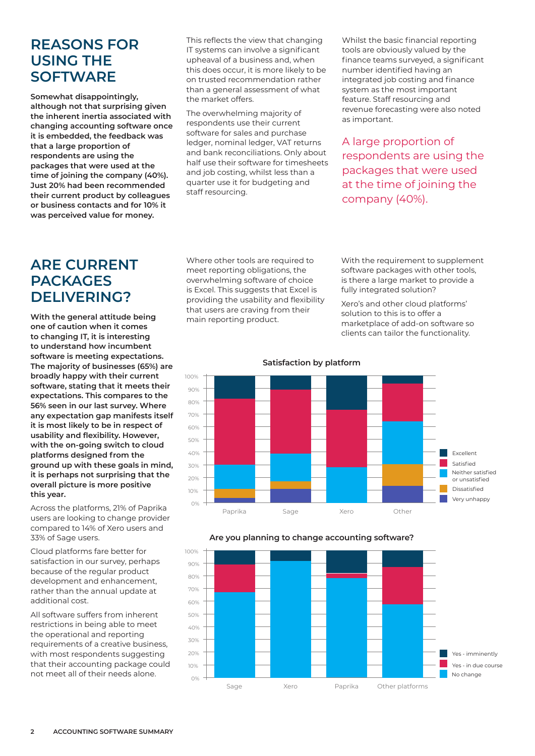#### **REASONS FOR USING THE SOFTWARE**

**Somewhat disappointingly, although not that surprising given the inherent inertia associated with changing accounting software once it is embedded, the feedback was that a large proportion of respondents are using the packages that were used at the time of joining the company (40%). Just 20% had been recommended their current product by colleagues or business contacts and for 10% it was perceived value for money.**

**ARE CURRENT PACKAGES DELIVERING?**

**With the general attitude being one of caution when it comes to changing IT, it is interesting to understand how incumbent software is meeting expectations. The majority of businesses (65%) are broadly happy with their current software, stating that it meets their expectations. This compares to the 56% seen in our last survey. Where any expectation gap manifests itself it is most likely to be in respect of usability and flexibility. However, with the on-going switch to cloud platforms designed from the ground up with these goals in mind, it is perhaps not surprising that the overall picture is more positive this year.**

Across the platforms, 21% of Paprika users are looking to change provider compared to 14% of Xero users and 33% of Sage users.

Cloud platforms fare better for satisfaction in our survey, perhaps because of the regular product development and enhancement, rather than the annual update at additional cost.

All software suffers from inherent restrictions in being able to meet the operational and reporting requirements of a creative business, with most respondents suggesting that their accounting package could not meet all of their needs alone.

This reflects the view that changing IT systems can involve a significant upheaval of a business and, when this does occur, it is more likely to be on trusted recommendation rather than a general assessment of what the market offers.

The overwhelming majority of respondents use their current software for sales and purchase ledger, nominal ledger, VAT returns and bank reconciliations. Only about half use their software for timesheets and job costing, whilst less than a quarter use it for budgeting and staff resourcing.

Whilst the basic financial reporting tools are obviously valued by the finance teams surveyed, a significant number identified having an integrated job costing and finance system as the most important feature. Staff resourcing and revenue forecasting were also noted as important.

A large proportion of respondents are using the packages that were used at the time of joining the company (40%).

Where other tools are required to meet reporting obligations, the overwhelming software of choice is Excel. This suggests that Excel is providing the usability and flexibility that users are craving from their main reporting product.

With the requirement to supplement software packages with other tools, is there a large market to provide a fully integrated solution?

Xero's and other cloud platforms' solution to this is to offer a marketplace of add-on software so clients can tailor the functionality.







**Satisfaction by platform**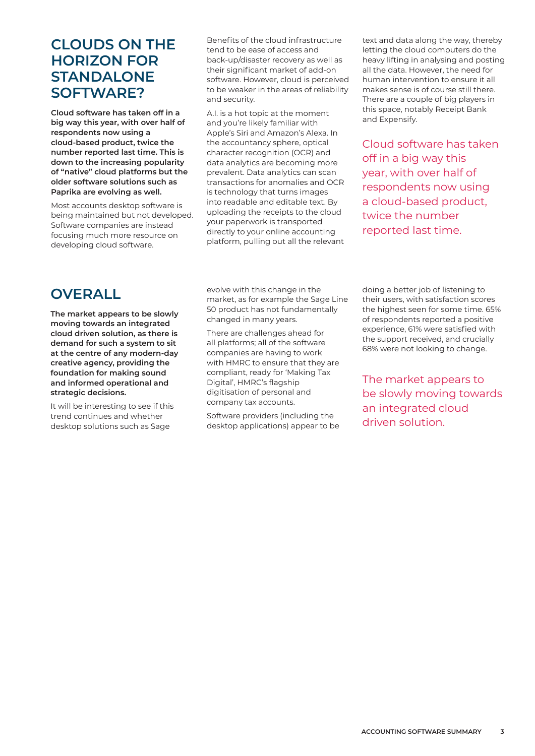#### **CLOUDS ON THE HORIZON FOR STANDALONE SOFTWARE?**

**Cloud software has taken off in a big way this year, with over half of respondents now using a cloud-based product, twice the number reported last time. This is down to the increasing popularity of "native" cloud platforms but the older software solutions such as Paprika are evolving as well.**

Most accounts desktop software is being maintained but not developed. Software companies are instead focusing much more resource on developing cloud software.

Benefits of the cloud infrastructure tend to be ease of access and back-up/disaster recovery as well as their significant market of add-on software. However, cloud is perceived to be weaker in the areas of reliability and security.

A.I. is a hot topic at the moment and you're likely familiar with Apple's Siri and Amazon's Alexa. In the accountancy sphere, optical character recognition (OCR) and data analytics are becoming more prevalent. Data analytics can scan transactions for anomalies and OCR is technology that turns images into readable and editable text. By uploading the receipts to the cloud your paperwork is transported directly to your online accounting platform, pulling out all the relevant text and data along the way, thereby letting the cloud computers do the heavy lifting in analysing and posting all the data. However, the need for human intervention to ensure it all makes sense is of course still there. There are a couple of big players in this space, notably Receipt Bank and Expensify.

Cloud software has taken off in a big way this year, with over half of respondents now using a cloud-based product, twice the number reported last time.

## **OVERALL**

**The market appears to be slowly moving towards an integrated cloud driven solution, as there is demand for such a system to sit at the centre of any modern-day creative agency, providing the foundation for making sound and informed operational and strategic decisions.** 

It will be interesting to see if this trend continues and whether desktop solutions such as Sage

evolve with this change in the market, as for example the Sage Line 50 product has not fundamentally changed in many years.

There are challenges ahead for all platforms; all of the software companies are having to work with HMRC to ensure that they are compliant, ready for 'Making Tax Digital', HMRC's flagship digitisation of personal and company tax accounts.

Software providers (including the desktop applications) appear to be doing a better job of listening to their users, with satisfaction scores the highest seen for some time. 65% of respondents reported a positive experience, 61% were satisfied with the support received, and crucially 68% were not looking to change.

The market appears to be slowly moving towards an integrated cloud driven solution.